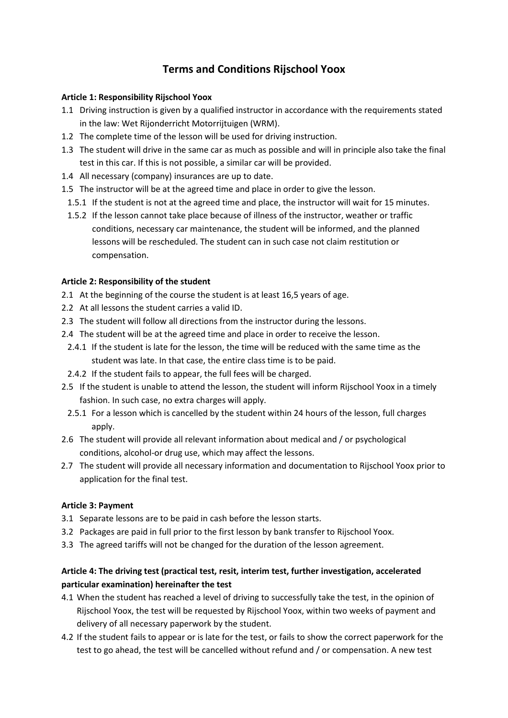# **Terms and Conditions Rijschool Yoox**

### **Article 1: Responsibility Rijschool Yoox**

- 1.1 Driving instruction is given by a qualified instructor in accordance with the requirements stated in the law: Wet Rijonderricht Motorrijtuigen (WRM).
- 1.2 The complete time of the lesson will be used for driving instruction.
- 1.3 The student will drive in the same car as much as possible and will in principle also take the final test in this car. If this is not possible, a similar car will be provided.
- 1.4 All necessary (company) insurances are up to date.
- 1.5 The instructor will be at the agreed time and place in order to give the lesson.
	- 1.5.1 If the student is not at the agreed time and place, the instructor will wait for 15 minutes.
	- 1.5.2 If the lesson cannot take place because of illness of the instructor, weather or traffic conditions, necessary car maintenance, the student will be informed, and the planned lessons will be rescheduled. The student can in such case not claim restitution or compensation.

### **Article 2: Responsibility of the student**

- 2.1 At the beginning of the course the student is at least 16,5 years of age.
- 2.2 At all lessons the student carries a valid ID.
- 2.3 The student will follow all directions from the instructor during the lessons.
- 2.4 The student will be at the agreed time and place in order to receive the lesson.
- 2.4.1 If the student is late for the lesson, the time will be reduced with the same time as the student was late. In that case, the entire class time is to be paid.
- 2.4.2 If the student fails to appear, the full fees will be charged.
- 2.5 If the student is unable to attend the lesson, the student will inform Rijschool Yoox in a timely fashion. In such case, no extra charges will apply.
- 2.5.1 For a lesson which is cancelled by the student within 24 hours of the lesson, full charges apply.
- 2.6 The student will provide all relevant information about medical and / or psychological conditions, alcohol-or drug use, which may affect the lessons.
- 2.7 The student will provide all necessary information and documentation to Rijschool Yoox prior to application for the final test.

#### **Article 3: Payment**

- 3.1 Separate lessons are to be paid in cash before the lesson starts.
- 3.2 Packages are paid in full prior to the first lesson by bank transfer to Rijschool Yoox.
- 3.3 The agreed tariffs will not be changed for the duration of the lesson agreement.

## **Article 4: The driving test (practical test, resit, interim test, further investigation, accelerated particular examination) hereinafter the test**

- 4.1 When the student has reached a level of driving to successfully take the test, in the opinion of Rijschool Yoox, the test will be requested by Rijschool Yoox, within two weeks of payment and delivery of all necessary paperwork by the student.
- 4.2 If the student fails to appear or is late for the test, or fails to show the correct paperwork for the test to go ahead, the test will be cancelled without refund and / or compensation. A new test